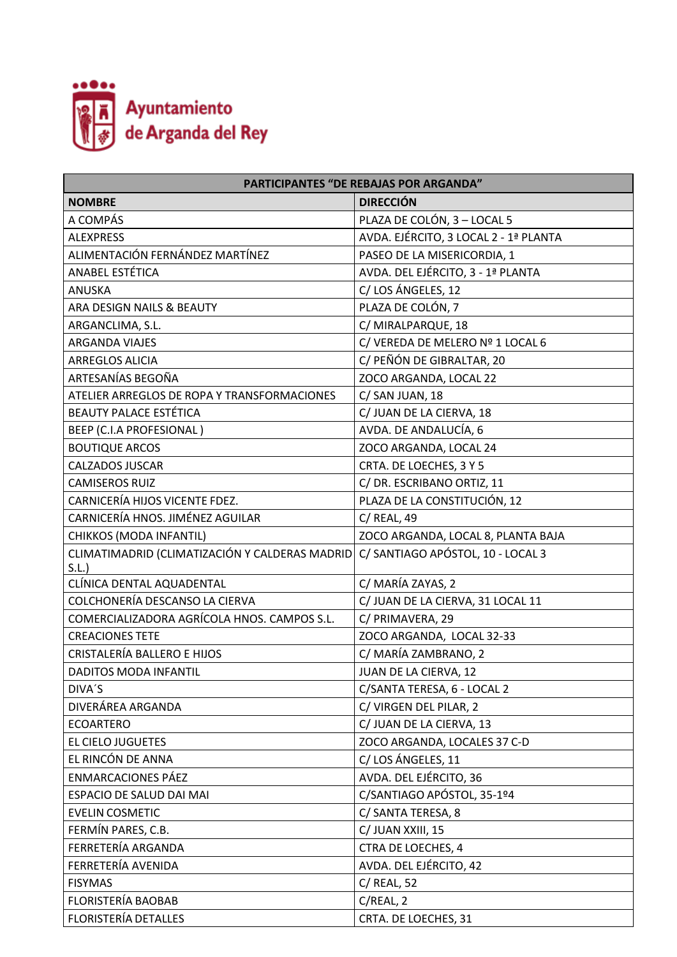

| <b>PARTICIPANTES "DE REBAJAS POR ARGANDA"</b>  |                                       |  |
|------------------------------------------------|---------------------------------------|--|
| <b>NOMBRE</b>                                  | <b>DIRECCIÓN</b>                      |  |
| A COMPÁS                                       | PLAZA DE COLÓN, 3 - LOCAL 5           |  |
| <b>ALEXPRESS</b>                               | AVDA. EJÉRCITO, 3 LOCAL 2 - 1ª PLANTA |  |
| ALIMENTACIÓN FERNÁNDEZ MARTÍNEZ                | PASEO DE LA MISERICORDIA, 1           |  |
| ANABEL ESTÉTICA                                | AVDA. DEL EJÉRCITO, 3 - 1ª PLANTA     |  |
| <b>ANUSKA</b>                                  | C/LOS ÁNGELES, 12                     |  |
| ARA DESIGN NAILS & BEAUTY                      | PLAZA DE COLÓN, 7                     |  |
| ARGANCLIMA, S.L.                               | C/ MIRALPARQUE, 18                    |  |
| <b>ARGANDA VIAJES</b>                          | C/ VEREDA DE MELERO Nº 1 LOCAL 6      |  |
| <b>ARREGLOS ALICIA</b>                         | C/ PEÑÓN DE GIBRALTAR, 20             |  |
| ARTESANÍAS BEGOÑA                              | ZOCO ARGANDA, LOCAL 22                |  |
| ATELIER ARREGLOS DE ROPA Y TRANSFORMACIONES    | C/ SAN JUAN, 18                       |  |
| <b>BEAUTY PALACE ESTÉTICA</b>                  | C/ JUAN DE LA CIERVA, 18              |  |
| BEEP (C.I.A PROFESIONAL)                       | AVDA. DE ANDALUCÍA, 6                 |  |
| <b>BOUTIQUE ARCOS</b>                          | ZOCO ARGANDA, LOCAL 24                |  |
| <b>CALZADOS JUSCAR</b>                         | CRTA. DE LOECHES, 3 Y 5               |  |
| <b>CAMISEROS RUIZ</b>                          | C/ DR. ESCRIBANO ORTIZ, 11            |  |
| CARNICERÍA HIJOS VICENTE FDEZ.                 | PLAZA DE LA CONSTITUCIÓN, 12          |  |
| CARNICERÍA HNOS. JIMÉNEZ AGUILAR               | C/ REAL, 49                           |  |
| CHIKKOS (MODA INFANTIL)                        | ZOCO ARGANDA, LOCAL 8, PLANTA BAJA    |  |
| CLIMATIMADRID (CLIMATIZACIÓN Y CALDERAS MADRID | C/ SANTIAGO APÓSTOL, 10 - LOCAL 3     |  |
| S.L.                                           |                                       |  |
| CLÍNICA DENTAL AQUADENTAL                      | C/ MARÍA ZAYAS, 2                     |  |
| COLCHONERÍA DESCANSO LA CIERVA                 | C/ JUAN DE LA CIERVA, 31 LOCAL 11     |  |
| COMERCIALIZADORA AGRÍCOLA HNOS. CAMPOS S.L.    | C/ PRIMAVERA, 29                      |  |
| <b>CREACIONES TETE</b>                         | ZOCO ARGANDA, LOCAL 32-33             |  |
| <b>CRISTALERÍA BALLERO E HIJOS</b>             | C/ MARÍA ZAMBRANO, 2                  |  |
| <b>DADITOS MODA INFANTIL</b>                   | JUAN DE LA CIERVA, 12                 |  |
| DIVA'S                                         | C/SANTA TERESA, 6 - LOCAL 2           |  |
| DIVERÁREA ARGANDA                              | C/ VIRGEN DEL PILAR, 2                |  |
| <b>ECOARTERO</b>                               | C/ JUAN DE LA CIERVA, 13              |  |
| <b>EL CIELO JUGUETES</b>                       | ZOCO ARGANDA, LOCALES 37 C-D          |  |
| EL RINCÓN DE ANNA                              | C/LOS ÁNGELES, 11                     |  |
| <b>ENMARCACIONES PÁEZ</b>                      | AVDA. DEL EJÉRCITO, 36                |  |
| ESPACIO DE SALUD DAI MAI                       | C/SANTIAGO APÓSTOL, 35-1º4            |  |
| <b>EVELIN COSMETIC</b>                         | C/ SANTA TERESA, 8                    |  |
| FERMÍN PARES, C.B.                             | C/ JUAN XXIII, 15                     |  |
| FERRETERÍA ARGANDA                             | CTRA DE LOECHES, 4                    |  |
| FERRETERÍA AVENIDA                             | AVDA. DEL EJÉRCITO, 42                |  |
| <b>FISYMAS</b>                                 | C/ REAL, 52                           |  |
| FLORISTERÍA BAOBAB                             | C/REL, 2                              |  |
| FLORISTERÍA DETALLES                           | CRTA. DE LOECHES, 31                  |  |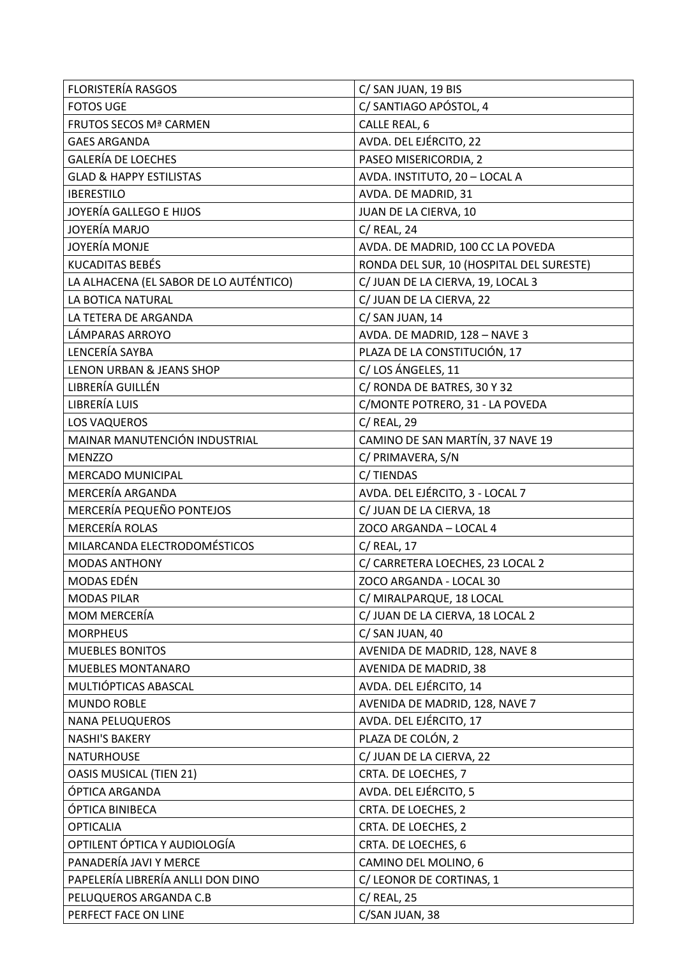| <b>FLORISTERÍA RASGOS</b>              | C/ SAN JUAN, 19 BIS                      |
|----------------------------------------|------------------------------------------|
| <b>FOTOS UGE</b>                       | C/ SANTIAGO APÓSTOL, 4                   |
| <b>FRUTOS SECOS Mª CARMEN</b>          | CALLE REAL, 6                            |
| <b>GAES ARGANDA</b>                    | AVDA. DEL EJÉRCITO, 22                   |
| <b>GALERÍA DE LOECHES</b>              | PASEO MISERICORDIA, 2                    |
| <b>GLAD &amp; HAPPY ESTILISTAS</b>     | AVDA. INSTITUTO, 20 - LOCAL A            |
| <b>IBERESTILO</b>                      | AVDA. DE MADRID, 31                      |
| JOYERÍA GALLEGO E HIJOS                | JUAN DE LA CIERVA, 10                    |
| JOYERÍA MARJO                          | $C/$ REAL, 24                            |
| JOYERÍA MONJE                          | AVDA. DE MADRID, 100 CC LA POVEDA        |
| <b>KUCADITAS BEBÉS</b>                 | RONDA DEL SUR, 10 (HOSPITAL DEL SURESTE) |
| LA ALHACENA (EL SABOR DE LO AUTÉNTICO) | C/ JUAN DE LA CIERVA, 19, LOCAL 3        |
| LA BOTICA NATURAL                      | C/ JUAN DE LA CIERVA, 22                 |
| LA TETERA DE ARGANDA                   | C/ SAN JUAN, 14                          |
| LÁMPARAS ARROYO                        | AVDA. DE MADRID, 128 - NAVE 3            |
| LENCERÍA SAYBA                         | PLAZA DE LA CONSTITUCIÓN, 17             |
| <b>LENON URBAN &amp; JEANS SHOP</b>    | C/LOS ÁNGELES, 11                        |
| LIBRERÍA GUILLÉN                       | C/ RONDA DE BATRES, 30 Y 32              |
| LIBRERÍA LUIS                          | C/MONTE POTRERO, 31 - LA POVEDA          |
| <b>LOS VAQUEROS</b>                    | C/ REAL, 29                              |
| MAINAR MANUTENCIÓN INDUSTRIAL          | CAMINO DE SAN MARTÍN, 37 NAVE 19         |
| <b>MENZZO</b>                          | C/ PRIMAVERA, S/N                        |
| <b>MERCADO MUNICIPAL</b>               | C/TIENDAS                                |
| MERCERÍA ARGANDA                       | AVDA. DEL EJÉRCITO, 3 - LOCAL 7          |
| MERCERÍA PEQUEÑO PONTEJOS              | C/ JUAN DE LA CIERVA, 18                 |
| <b>MERCERÍA ROLAS</b>                  | ZOCO ARGANDA - LOCAL 4                   |
| MILARCANDA ELECTRODOMÉSTICOS           | $C/$ REAL, 17                            |
| <b>MODAS ANTHONY</b>                   | C/ CARRETERA LOECHES, 23 LOCAL 2         |
| MODAS EDÉN                             | ZOCO ARGANDA - LOCAL 30                  |
| <b>MODAS PILAR</b>                     | C/ MIRALPARQUE, 18 LOCAL                 |
| MOM MERCERÍA                           | C/ JUAN DE LA CIERVA, 18 LOCAL 2         |
| <b>MORPHEUS</b>                        | C/ SAN JUAN, 40                          |
| <b>MUEBLES BONITOS</b>                 | AVENIDA DE MADRID, 128, NAVE 8           |
| MUEBLES MONTANARO                      | AVENIDA DE MADRID, 38                    |
| MULTIÓPTICAS ABASCAL                   | AVDA. DEL EJÉRCITO, 14                   |
| <b>MUNDO ROBLE</b>                     | AVENIDA DE MADRID, 128, NAVE 7           |
| <b>NANA PELUQUEROS</b>                 | AVDA. DEL EJÉRCITO, 17                   |
| <b>NASHI'S BAKERY</b>                  | PLAZA DE COLÓN, 2                        |
| <b>NATURHOUSE</b>                      | C/ JUAN DE LA CIERVA, 22                 |
| <b>OASIS MUSICAL (TIEN 21)</b>         | CRTA. DE LOECHES, 7                      |
| ÓPTICA ARGANDA                         | AVDA. DEL EJÉRCITO, 5                    |
| ÓPTICA BINIBECA                        | CRTA. DE LOECHES, 2                      |
| <b>OPTICALIA</b>                       | CRTA. DE LOECHES, 2                      |
| OPTILENT ÓPTICA Y AUDIOLOGÍA           | CRTA. DE LOECHES, 6                      |
| PANADERÍA JAVI Y MERCE                 | CAMINO DEL MOLINO, 6                     |
| PAPELERÍA LIBRERÍA ANLLI DON DINO      | C/ LEONOR DE CORTINAS, 1                 |
| PELUQUEROS ARGANDA C.B                 | $C/$ REAL, 25                            |
| PERFECT FACE ON LINE                   | C/SAN JUAN, 38                           |